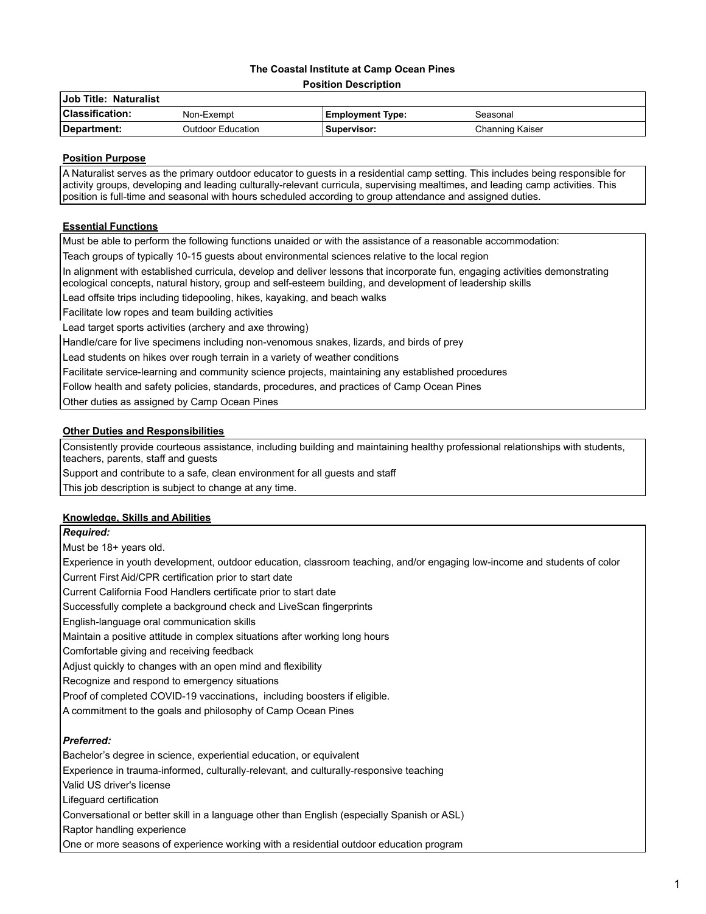# **The Coastal Institute at Camp Ocean Pines**

**Position Description**

| Job Title: Naturalist  |                          |                         |                 |  |
|------------------------|--------------------------|-------------------------|-----------------|--|
| <b>Classification:</b> | Non-Exempt               | <b>Employment Type:</b> | Seasonal        |  |
| Department:            | <b>Outdoor Education</b> | Supervisor: l           | Channing Kaiser |  |

## **Position Purpose**

A Naturalist serves as the primary outdoor educator to guests in a residential camp setting. This includes being responsible for activity groups, developing and leading culturally-relevant curricula, supervising mealtimes, and leading camp activities. This position is full-time and seasonal with hours scheduled according to group attendance and assigned duties.

# **Essential Functions**

Must be able to perform the following functions unaided or with the assistance of a reasonable accommodation:

Teach groups of typically 10-15 guests about environmental sciences relative to the local region

In alignment with established curricula, develop and deliver lessons that incorporate fun, engaging activities demonstrating ecological concepts, natural history, group and self-esteem building, and development of leadership skills

Lead offsite trips including tidepooling, hikes, kayaking, and beach walks

Facilitate low ropes and team building activities

Lead target sports activities (archery and axe throwing)

Handle/care for live specimens including non-venomous snakes, lizards, and birds of prey

Lead students on hikes over rough terrain in a variety of weather conditions

Facilitate service-learning and community science projects, maintaining any established procedures

Follow health and safety policies, standards, procedures, and practices of Camp Ocean Pines

Other duties as assigned by Camp Ocean Pines

# **Other Duties and Responsibilities**

Consistently provide courteous assistance, including building and maintaining healthy professional relationships with students, teachers, parents, staff and guests

Support and contribute to a safe, clean environment for all guests and staff

This job description is subject to change at any time.

# **Knowledge, Skills and Abilities**

*Required:*

Must be 18+ years old.

Experience in youth development, outdoor education, classroom teaching, and/or engaging low-income and students of color Current First Aid/CPR certification prior to start date

Current California Food Handlers certificate prior to start date

Successfully complete a background check and LiveScan fingerprints

English-language oral communication skills

Maintain a positive attitude in complex situations after working long hours

Comfortable giving and receiving feedback

Adjust quickly to changes with an open mind and flexibility

Recognize and respond to emergency situations

Proof of completed COVID-19 vaccinations, including boosters if eligible.

A commitment to the goals and philosophy of Camp Ocean Pines

# *Preferred:*

Bachelor's degree in science, experiential education, or equivalent

Experience in trauma-informed, culturally-relevant, and culturally-responsive teaching

Valid US driver's license

Lifeguard certification

Conversational or better skill in a language other than English (especially Spanish or ASL)

Raptor handling experience

One or more seasons of experience working with a residential outdoor education program